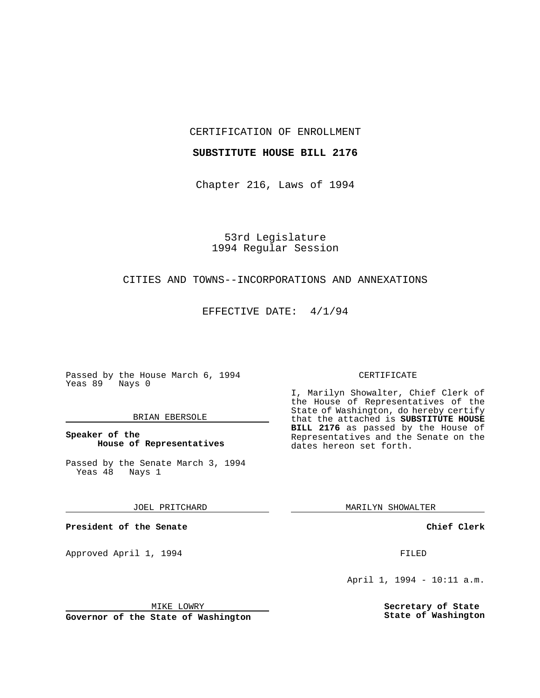CERTIFICATION OF ENROLLMENT

## **SUBSTITUTE HOUSE BILL 2176**

Chapter 216, Laws of 1994

53rd Legislature 1994 Regular Session

# CITIES AND TOWNS--INCORPORATIONS AND ANNEXATIONS

EFFECTIVE DATE: 4/1/94

Passed by the House March 6, 1994 Yeas 89 Nays 0

### BRIAN EBERSOLE

# **Speaker of the House of Representatives**

Passed by the Senate March 3, 1994<br>Yeas 48 Nays 1 Yeas 48

JOEL PRITCHARD

**President of the Senate**

Approved April 1, 1994 **FILED** 

#### MIKE LOWRY

**Governor of the State of Washington**

#### CERTIFICATE

I, Marilyn Showalter, Chief Clerk of the House of Representatives of the State of Washington, do hereby certify that the attached is **SUBSTITUTE HOUSE BILL 2176** as passed by the House of Representatives and the Senate on the dates hereon set forth.

MARILYN SHOWALTER

**Chief Clerk**

April 1, 1994 - 10:11 a.m.

**Secretary of State State of Washington**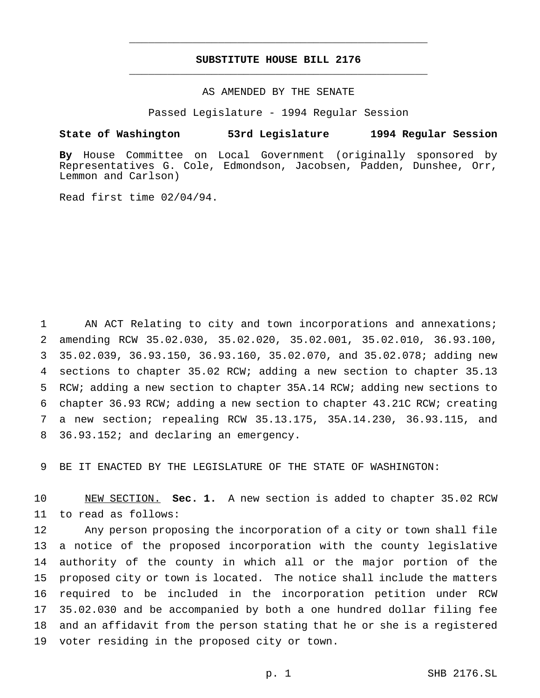# **SUBSTITUTE HOUSE BILL 2176** \_\_\_\_\_\_\_\_\_\_\_\_\_\_\_\_\_\_\_\_\_\_\_\_\_\_\_\_\_\_\_\_\_\_\_\_\_\_\_\_\_\_\_\_\_\_\_

\_\_\_\_\_\_\_\_\_\_\_\_\_\_\_\_\_\_\_\_\_\_\_\_\_\_\_\_\_\_\_\_\_\_\_\_\_\_\_\_\_\_\_\_\_\_\_

## AS AMENDED BY THE SENATE

Passed Legislature - 1994 Regular Session

#### **State of Washington 53rd Legislature 1994 Regular Session**

**By** House Committee on Local Government (originally sponsored by Representatives G. Cole, Edmondson, Jacobsen, Padden, Dunshee, Orr, Lemmon and Carlson)

Read first time 02/04/94.

1 AN ACT Relating to city and town incorporations and annexations; amending RCW 35.02.030, 35.02.020, 35.02.001, 35.02.010, 36.93.100, 35.02.039, 36.93.150, 36.93.160, 35.02.070, and 35.02.078; adding new sections to chapter 35.02 RCW; adding a new section to chapter 35.13 RCW; adding a new section to chapter 35A.14 RCW; adding new sections to chapter 36.93 RCW; adding a new section to chapter 43.21C RCW; creating a new section; repealing RCW 35.13.175, 35A.14.230, 36.93.115, and 36.93.152; and declaring an emergency.

9 BE IT ENACTED BY THE LEGISLATURE OF THE STATE OF WASHINGTON:

10 NEW SECTION. **Sec. 1.** A new section is added to chapter 35.02 RCW 11 to read as follows:

 Any person proposing the incorporation of a city or town shall file a notice of the proposed incorporation with the county legislative authority of the county in which all or the major portion of the proposed city or town is located. The notice shall include the matters required to be included in the incorporation petition under RCW 35.02.030 and be accompanied by both a one hundred dollar filing fee and an affidavit from the person stating that he or she is a registered voter residing in the proposed city or town.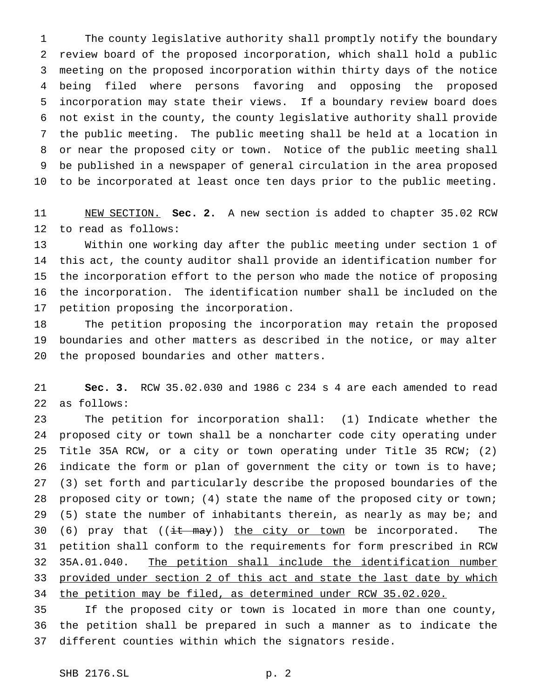The county legislative authority shall promptly notify the boundary review board of the proposed incorporation, which shall hold a public meeting on the proposed incorporation within thirty days of the notice being filed where persons favoring and opposing the proposed incorporation may state their views. If a boundary review board does not exist in the county, the county legislative authority shall provide the public meeting. The public meeting shall be held at a location in or near the proposed city or town. Notice of the public meeting shall be published in a newspaper of general circulation in the area proposed to be incorporated at least once ten days prior to the public meeting.

 NEW SECTION. **Sec. 2.** A new section is added to chapter 35.02 RCW to read as follows:

 Within one working day after the public meeting under section 1 of this act, the county auditor shall provide an identification number for the incorporation effort to the person who made the notice of proposing the incorporation. The identification number shall be included on the petition proposing the incorporation.

 The petition proposing the incorporation may retain the proposed boundaries and other matters as described in the notice, or may alter the proposed boundaries and other matters.

 **Sec. 3.** RCW 35.02.030 and 1986 c 234 s 4 are each amended to read as follows:

 The petition for incorporation shall: (1) Indicate whether the proposed city or town shall be a noncharter code city operating under Title 35A RCW, or a city or town operating under Title 35 RCW; (2) indicate the form or plan of government the city or town is to have; (3) set forth and particularly describe the proposed boundaries of the proposed city or town; (4) state the name of the proposed city or town; 29 (5) state the number of inhabitants therein, as nearly as may be; and 30 (6) pray that  $((\frac{it - \text{may}}{\text{the city or town}})$  be incorporated. The petition shall conform to the requirements for form prescribed in RCW 35A.01.040. The petition shall include the identification number provided under section 2 of this act and state the last date by which 34 the petition may be filed, as determined under RCW 35.02.020.

 If the proposed city or town is located in more than one county, the petition shall be prepared in such a manner as to indicate the different counties within which the signators reside.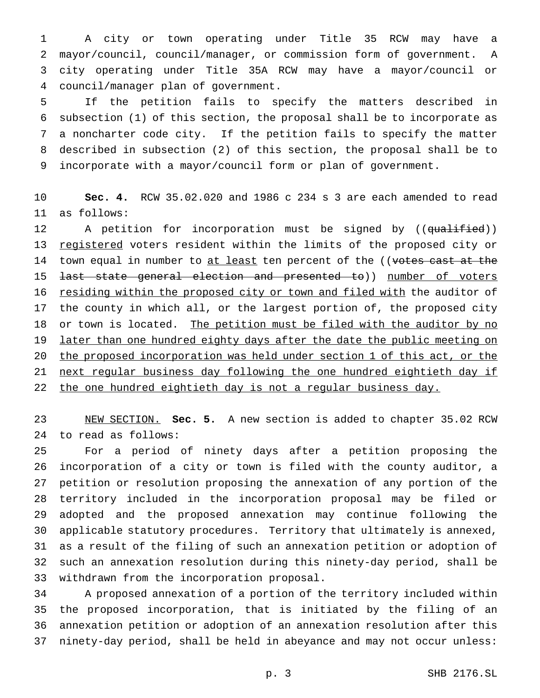A city or town operating under Title 35 RCW may have a mayor/council, council/manager, or commission form of government. A city operating under Title 35A RCW may have a mayor/council or council/manager plan of government.

 If the petition fails to specify the matters described in subsection (1) of this section, the proposal shall be to incorporate as a noncharter code city. If the petition fails to specify the matter described in subsection (2) of this section, the proposal shall be to incorporate with a mayor/council form or plan of government.

 **Sec. 4.** RCW 35.02.020 and 1986 c 234 s 3 are each amended to read as follows:

12 A petition for incorporation must be signed by ((<del>qualified</del>)) 13 registered voters resident within the limits of the proposed city or 14 town equal in number to at least ten percent of the ((votes cast at the 15 <del>last state general election and presented to</del>)) number of voters 16 residing within the proposed city or town and filed with the auditor of the county in which all, or the largest portion of, the proposed city 18 or town is located. The petition must be filed with the auditor by no 19 later than one hundred eighty days after the date the public meeting on the proposed incorporation was held under section 1 of this act, or the next regular business day following the one hundred eightieth day if 22 the one hundred eightieth day is not a regular business day.

 NEW SECTION. **Sec. 5.** A new section is added to chapter 35.02 RCW to read as follows:

 For a period of ninety days after a petition proposing the incorporation of a city or town is filed with the county auditor, a petition or resolution proposing the annexation of any portion of the territory included in the incorporation proposal may be filed or adopted and the proposed annexation may continue following the applicable statutory procedures. Territory that ultimately is annexed, as a result of the filing of such an annexation petition or adoption of such an annexation resolution during this ninety-day period, shall be withdrawn from the incorporation proposal.

 A proposed annexation of a portion of the territory included within the proposed incorporation, that is initiated by the filing of an annexation petition or adoption of an annexation resolution after this ninety-day period, shall be held in abeyance and may not occur unless: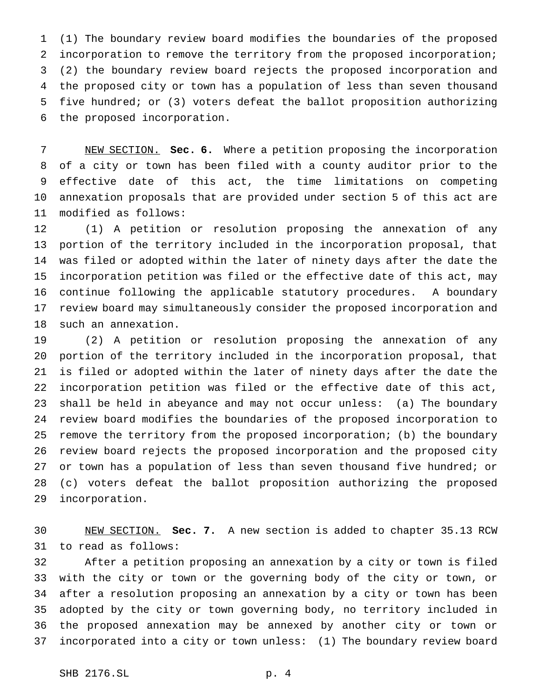(1) The boundary review board modifies the boundaries of the proposed incorporation to remove the territory from the proposed incorporation; (2) the boundary review board rejects the proposed incorporation and the proposed city or town has a population of less than seven thousand five hundred; or (3) voters defeat the ballot proposition authorizing the proposed incorporation.

 NEW SECTION. **Sec. 6.** Where a petition proposing the incorporation of a city or town has been filed with a county auditor prior to the effective date of this act, the time limitations on competing annexation proposals that are provided under section 5 of this act are modified as follows:

 (1) A petition or resolution proposing the annexation of any portion of the territory included in the incorporation proposal, that was filed or adopted within the later of ninety days after the date the incorporation petition was filed or the effective date of this act, may continue following the applicable statutory procedures. A boundary review board may simultaneously consider the proposed incorporation and such an annexation.

 (2) A petition or resolution proposing the annexation of any portion of the territory included in the incorporation proposal, that is filed or adopted within the later of ninety days after the date the incorporation petition was filed or the effective date of this act, shall be held in abeyance and may not occur unless: (a) The boundary review board modifies the boundaries of the proposed incorporation to remove the territory from the proposed incorporation; (b) the boundary review board rejects the proposed incorporation and the proposed city or town has a population of less than seven thousand five hundred; or (c) voters defeat the ballot proposition authorizing the proposed incorporation.

 NEW SECTION. **Sec. 7.** A new section is added to chapter 35.13 RCW to read as follows:

 After a petition proposing an annexation by a city or town is filed with the city or town or the governing body of the city or town, or after a resolution proposing an annexation by a city or town has been adopted by the city or town governing body, no territory included in the proposed annexation may be annexed by another city or town or incorporated into a city or town unless: (1) The boundary review board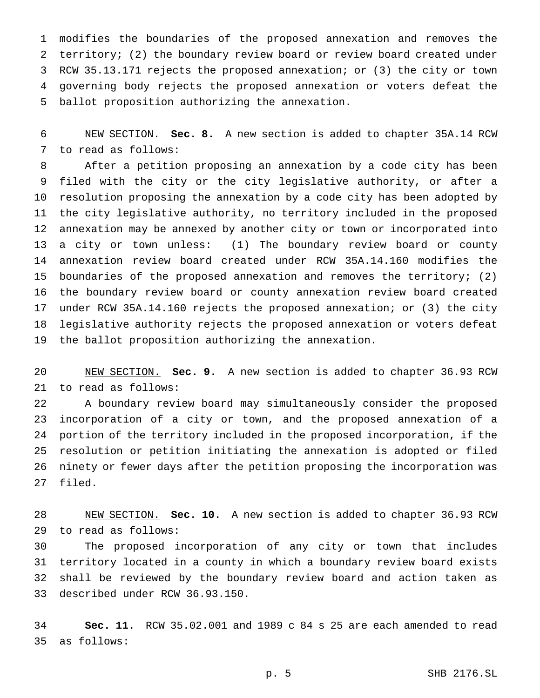modifies the boundaries of the proposed annexation and removes the territory; (2) the boundary review board or review board created under RCW 35.13.171 rejects the proposed annexation; or (3) the city or town governing body rejects the proposed annexation or voters defeat the ballot proposition authorizing the annexation.

 NEW SECTION. **Sec. 8.** A new section is added to chapter 35A.14 RCW to read as follows:

 After a petition proposing an annexation by a code city has been filed with the city or the city legislative authority, or after a resolution proposing the annexation by a code city has been adopted by the city legislative authority, no territory included in the proposed annexation may be annexed by another city or town or incorporated into a city or town unless: (1) The boundary review board or county annexation review board created under RCW 35A.14.160 modifies the boundaries of the proposed annexation and removes the territory; (2) the boundary review board or county annexation review board created under RCW 35A.14.160 rejects the proposed annexation; or (3) the city legislative authority rejects the proposed annexation or voters defeat the ballot proposition authorizing the annexation.

 NEW SECTION. **Sec. 9.** A new section is added to chapter 36.93 RCW to read as follows:

 A boundary review board may simultaneously consider the proposed incorporation of a city or town, and the proposed annexation of a portion of the territory included in the proposed incorporation, if the resolution or petition initiating the annexation is adopted or filed ninety or fewer days after the petition proposing the incorporation was filed.

 NEW SECTION. **Sec. 10.** A new section is added to chapter 36.93 RCW to read as follows:

 The proposed incorporation of any city or town that includes territory located in a county in which a boundary review board exists shall be reviewed by the boundary review board and action taken as described under RCW 36.93.150.

 **Sec. 11.** RCW 35.02.001 and 1989 c 84 s 25 are each amended to read as follows: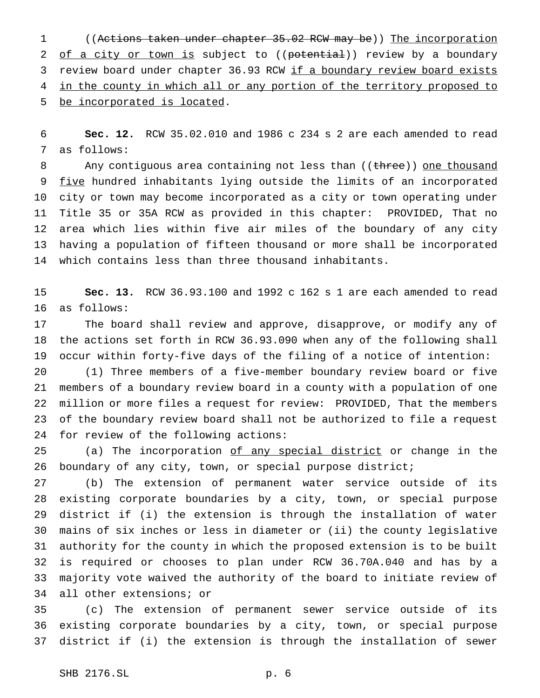((Actions taken under chapter 35.02 RCW may be)) The incorporation 2 of a city or town is subject to ((potential)) review by a boundary 3 review board under chapter 36.93 RCW if a boundary review board exists 4 in the county in which all or any portion of the territory proposed to be incorporated is located.

 **Sec. 12.** RCW 35.02.010 and 1986 c 234 s 2 are each amended to read as follows:

8 Any contiguous area containing not less than ((three)) one thousand 9 five hundred inhabitants lying outside the limits of an incorporated city or town may become incorporated as a city or town operating under Title 35 or 35A RCW as provided in this chapter: PROVIDED, That no area which lies within five air miles of the boundary of any city having a population of fifteen thousand or more shall be incorporated which contains less than three thousand inhabitants.

 **Sec. 13.** RCW 36.93.100 and 1992 c 162 s 1 are each amended to read as follows:

 The board shall review and approve, disapprove, or modify any of the actions set forth in RCW 36.93.090 when any of the following shall occur within forty-five days of the filing of a notice of intention:

 (1) Three members of a five-member boundary review board or five members of a boundary review board in a county with a population of one million or more files a request for review: PROVIDED, That the members of the boundary review board shall not be authorized to file a request for review of the following actions:

25 (a) The incorporation of any special district or change in the boundary of any city, town, or special purpose district;

 (b) The extension of permanent water service outside of its existing corporate boundaries by a city, town, or special purpose district if (i) the extension is through the installation of water mains of six inches or less in diameter or (ii) the county legislative authority for the county in which the proposed extension is to be built is required or chooses to plan under RCW 36.70A.040 and has by a majority vote waived the authority of the board to initiate review of all other extensions; or

 (c) The extension of permanent sewer service outside of its existing corporate boundaries by a city, town, or special purpose district if (i) the extension is through the installation of sewer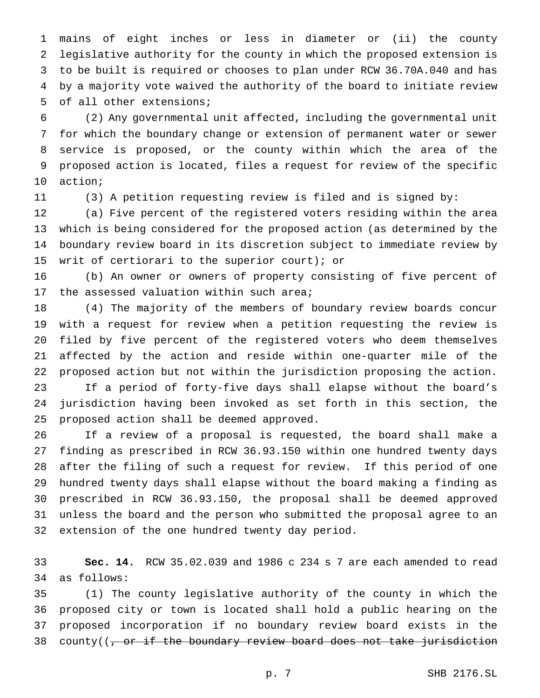mains of eight inches or less in diameter or (ii) the county legislative authority for the county in which the proposed extension is to be built is required or chooses to plan under RCW 36.70A.040 and has by a majority vote waived the authority of the board to initiate review of all other extensions;

 (2) Any governmental unit affected, including the governmental unit for which the boundary change or extension of permanent water or sewer service is proposed, or the county within which the area of the proposed action is located, files a request for review of the specific action;

(3) A petition requesting review is filed and is signed by:

 (a) Five percent of the registered voters residing within the area which is being considered for the proposed action (as determined by the boundary review board in its discretion subject to immediate review by writ of certiorari to the superior court); or

 (b) An owner or owners of property consisting of five percent of 17 the assessed valuation within such area;

 (4) The majority of the members of boundary review boards concur with a request for review when a petition requesting the review is filed by five percent of the registered voters who deem themselves affected by the action and reside within one-quarter mile of the proposed action but not within the jurisdiction proposing the action. If a period of forty-five days shall elapse without the board's jurisdiction having been invoked as set forth in this section, the proposed action shall be deemed approved.

 If a review of a proposal is requested, the board shall make a finding as prescribed in RCW 36.93.150 within one hundred twenty days after the filing of such a request for review. If this period of one hundred twenty days shall elapse without the board making a finding as prescribed in RCW 36.93.150, the proposal shall be deemed approved unless the board and the person who submitted the proposal agree to an extension of the one hundred twenty day period.

 **Sec. 14.** RCW 35.02.039 and 1986 c 234 s 7 are each amended to read as follows:

 (1) The county legislative authority of the county in which the proposed city or town is located shall hold a public hearing on the proposed incorporation if no boundary review board exists in the 38 county((, or if the boundary review board does not take jurisdiction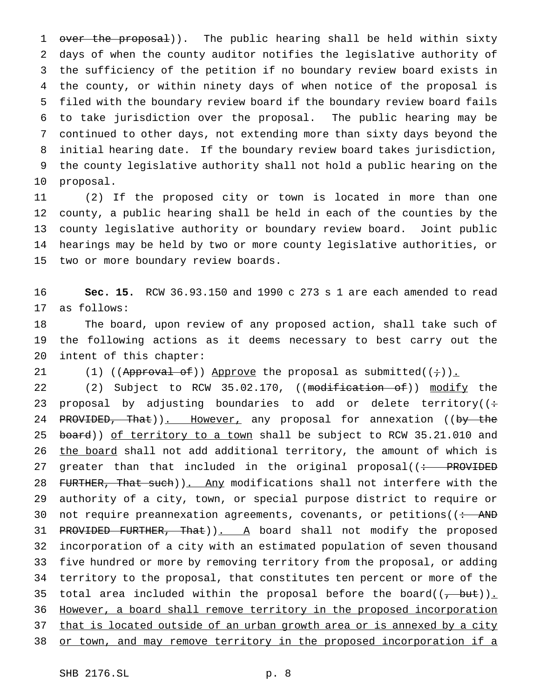1 over the proposal)). The public hearing shall be held within sixty days of when the county auditor notifies the legislative authority of the sufficiency of the petition if no boundary review board exists in the county, or within ninety days of when notice of the proposal is filed with the boundary review board if the boundary review board fails to take jurisdiction over the proposal. The public hearing may be continued to other days, not extending more than sixty days beyond the initial hearing date. If the boundary review board takes jurisdiction, the county legislative authority shall not hold a public hearing on the proposal.

 (2) If the proposed city or town is located in more than one county, a public hearing shall be held in each of the counties by the county legislative authority or boundary review board. Joint public hearings may be held by two or more county legislative authorities, or two or more boundary review boards.

 **Sec. 15.** RCW 36.93.150 and 1990 c 273 s 1 are each amended to read as follows:

 The board, upon review of any proposed action, shall take such of the following actions as it deems necessary to best carry out the intent of this chapter:

21 (1) ((Approval of)) Approve the proposal as submitted( $(+)$ ).

22 (2) Subject to RCW 35.02.170, ((modification of)) modify the 23 proposal by adjusting boundaries to add or delete territory( $($ : 24 PROVIDED, That)). However, any proposal for annexation ((by the 25 board)) of territory to a town shall be subject to RCW 35.21.010 and the board shall not add additional territory, the amount of which is 27 greater than that included in the original proposal( $\left($  + PROVIDED 28 FURTHER, That such)). Any modifications shall not interfere with the authority of a city, town, or special purpose district to require or 30 not require preannexation agreements, covenants, or petitions( $($   $\div$  AND 31 PROVIDED FURTHER, That)). A board shall not modify the proposed incorporation of a city with an estimated population of seven thousand five hundred or more by removing territory from the proposal, or adding territory to the proposal, that constitutes ten percent or more of the 35 total area included within the proposal before the board $((, -but))_{\text{r}}$  However, a board shall remove territory in the proposed incorporation 37 that is located outside of an urban growth area or is annexed by a city or town, and may remove territory in the proposed incorporation if a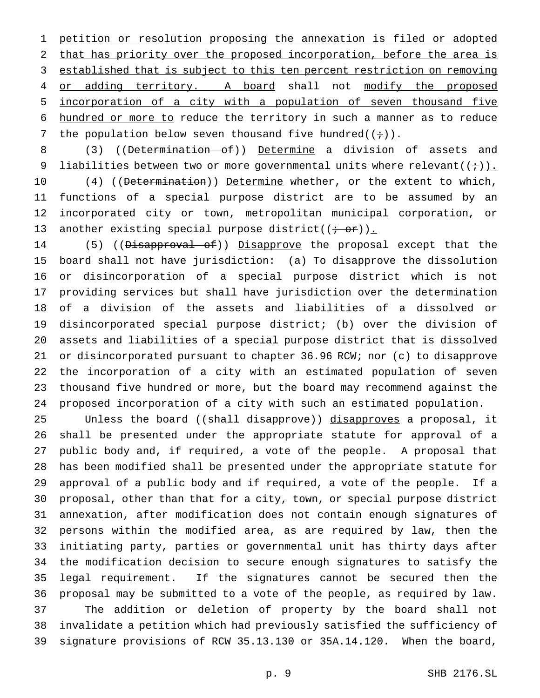petition or resolution proposing the annexation is filed or adopted that has priority over the proposed incorporation, before the area is established that is subject to this ten percent restriction on removing 4 or adding territory. A board shall not modify the proposed incorporation of a city with a population of seven thousand five hundred or more to reduce the territory in such a manner as to reduce 7 the population below seven thousand five hundred( $(+)$ ).

8 (3) ((Determination of)) Determine a division of assets and 9 liabilities between two or more governmental units where relevant( $(+)$ ).

10 (4) ((Determination)) Determine whether, or the extent to which, functions of a special purpose district are to be assumed by an incorporated city or town, metropolitan municipal corporation, or 13 another existing special purpose district( $(\div \overrightarrow{or})$ ).

14 (5) ((Disapproval of)) Disapprove the proposal except that the board shall not have jurisdiction: (a) To disapprove the dissolution or disincorporation of a special purpose district which is not providing services but shall have jurisdiction over the determination of a division of the assets and liabilities of a dissolved or disincorporated special purpose district; (b) over the division of assets and liabilities of a special purpose district that is dissolved or disincorporated pursuant to chapter 36.96 RCW; nor (c) to disapprove the incorporation of a city with an estimated population of seven thousand five hundred or more, but the board may recommend against the proposed incorporation of a city with such an estimated population.

25 Unless the board ((<del>shall disapprove</del>)) disapproves a proposal, it shall be presented under the appropriate statute for approval of a public body and, if required, a vote of the people. A proposal that has been modified shall be presented under the appropriate statute for approval of a public body and if required, a vote of the people. If a proposal, other than that for a city, town, or special purpose district annexation, after modification does not contain enough signatures of persons within the modified area, as are required by law, then the initiating party, parties or governmental unit has thirty days after the modification decision to secure enough signatures to satisfy the legal requirement. If the signatures cannot be secured then the proposal may be submitted to a vote of the people, as required by law. The addition or deletion of property by the board shall not invalidate a petition which had previously satisfied the sufficiency of signature provisions of RCW 35.13.130 or 35A.14.120. When the board,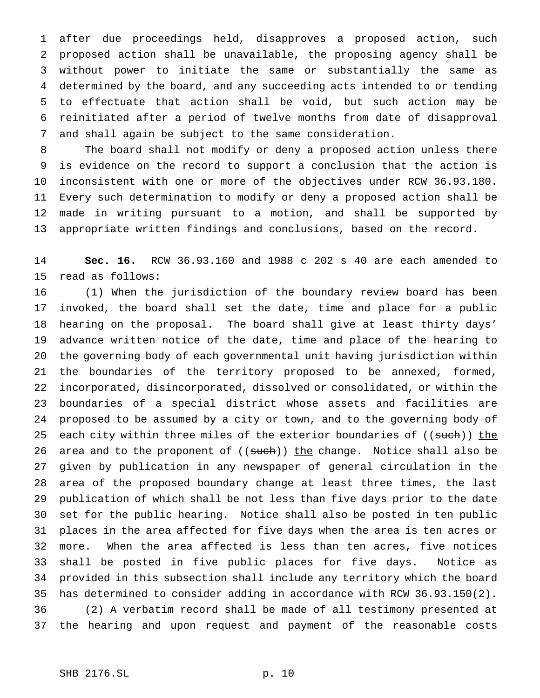after due proceedings held, disapproves a proposed action, such proposed action shall be unavailable, the proposing agency shall be without power to initiate the same or substantially the same as determined by the board, and any succeeding acts intended to or tending to effectuate that action shall be void, but such action may be reinitiated after a period of twelve months from date of disapproval and shall again be subject to the same consideration.

 The board shall not modify or deny a proposed action unless there is evidence on the record to support a conclusion that the action is inconsistent with one or more of the objectives under RCW 36.93.180. Every such determination to modify or deny a proposed action shall be made in writing pursuant to a motion, and shall be supported by appropriate written findings and conclusions, based on the record.

 **Sec. 16.** RCW 36.93.160 and 1988 c 202 s 40 are each amended to read as follows:

 (1) When the jurisdiction of the boundary review board has been invoked, the board shall set the date, time and place for a public hearing on the proposal. The board shall give at least thirty days' advance written notice of the date, time and place of the hearing to the governing body of each governmental unit having jurisdiction within the boundaries of the territory proposed to be annexed, formed, incorporated, disincorporated, dissolved or consolidated, or within the boundaries of a special district whose assets and facilities are proposed to be assumed by a city or town, and to the governing body of 25 each city within three miles of the exterior boundaries of ((such)) the 26 area and to the proponent of ((such)) the change. Notice shall also be given by publication in any newspaper of general circulation in the area of the proposed boundary change at least three times, the last publication of which shall be not less than five days prior to the date set for the public hearing. Notice shall also be posted in ten public places in the area affected for five days when the area is ten acres or more. When the area affected is less than ten acres, five notices shall be posted in five public places for five days. Notice as provided in this subsection shall include any territory which the board has determined to consider adding in accordance with RCW 36.93.150(2). (2) A verbatim record shall be made of all testimony presented at the hearing and upon request and payment of the reasonable costs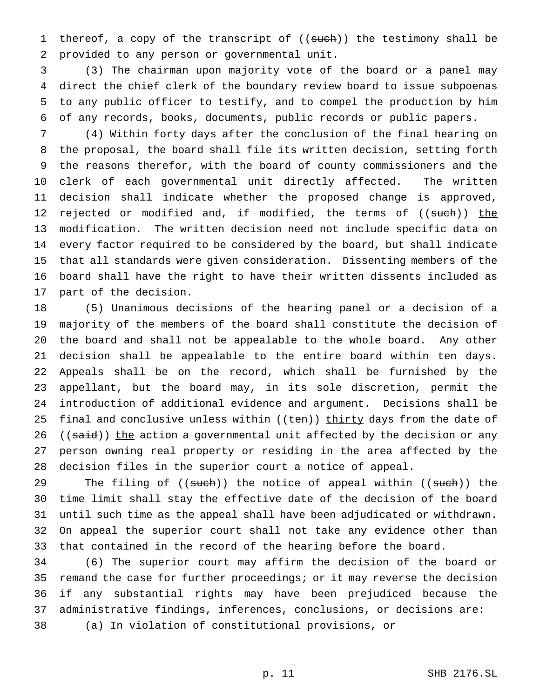1 thereof, a copy of the transcript of ((such)) the testimony shall be provided to any person or governmental unit.

 (3) The chairman upon majority vote of the board or a panel may direct the chief clerk of the boundary review board to issue subpoenas to any public officer to testify, and to compel the production by him of any records, books, documents, public records or public papers.

 (4) Within forty days after the conclusion of the final hearing on the proposal, the board shall file its written decision, setting forth the reasons therefor, with the board of county commissioners and the clerk of each governmental unit directly affected. The written decision shall indicate whether the proposed change is approved, 12 rejected or modified and, if modified, the terms of ((such)) the modification. The written decision need not include specific data on every factor required to be considered by the board, but shall indicate that all standards were given consideration. Dissenting members of the board shall have the right to have their written dissents included as part of the decision.

 (5) Unanimous decisions of the hearing panel or a decision of a majority of the members of the board shall constitute the decision of the board and shall not be appealable to the whole board. Any other decision shall be appealable to the entire board within ten days. Appeals shall be on the record, which shall be furnished by the appellant, but the board may, in its sole discretion, permit the introduction of additional evidence and argument. Decisions shall be 25 final and conclusive unless within ((ten)) thirty days from the date of 26 ((said)) the action a governmental unit affected by the decision or any person owning real property or residing in the area affected by the decision files in the superior court a notice of appeal.

29 The filing of ((such)) the notice of appeal within ((such)) the time limit shall stay the effective date of the decision of the board until such time as the appeal shall have been adjudicated or withdrawn. On appeal the superior court shall not take any evidence other than that contained in the record of the hearing before the board.

 (6) The superior court may affirm the decision of the board or remand the case for further proceedings; or it may reverse the decision if any substantial rights may have been prejudiced because the administrative findings, inferences, conclusions, or decisions are: (a) In violation of constitutional provisions, or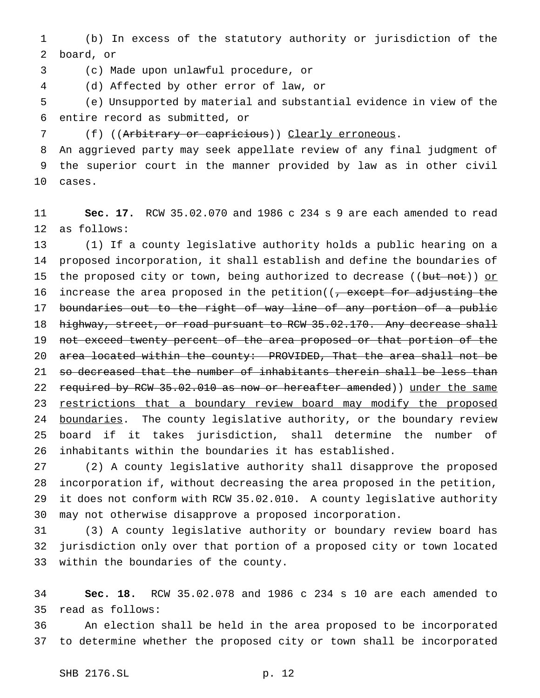(b) In excess of the statutory authority or jurisdiction of the board, or

(c) Made upon unlawful procedure, or

(d) Affected by other error of law, or

 (e) Unsupported by material and substantial evidence in view of the entire record as submitted, or

7 (f) ((Arbitrary or capricious)) Clearly erroneous.

 An aggrieved party may seek appellate review of any final judgment of the superior court in the manner provided by law as in other civil cases.

 **Sec. 17.** RCW 35.02.070 and 1986 c 234 s 9 are each amended to read as follows:

 (1) If a county legislative authority holds a public hearing on a proposed incorporation, it shall establish and define the boundaries of 15 the proposed city or town, being authorized to decrease ((but not)) or 16 increase the area proposed in the petition((<del>, except for adjusting the</del> 17 boundaries out to the right of way line of any portion of a public 18 highway, street, or road pursuant to RCW 35.02.170. Any decrease shall 19 not exceed twenty percent of the area proposed or that portion of the 20 area located within the county: PROVIDED, That the area shall not be 21 so decreased that the number of inhabitants therein shall be less than 22 required by RCW 35.02.010 as now or hereafter amended)) under the same 23 restrictions that a boundary review board may modify the proposed 24 boundaries. The county legislative authority, or the boundary review board if it takes jurisdiction, shall determine the number of inhabitants within the boundaries it has established.

 (2) A county legislative authority shall disapprove the proposed incorporation if, without decreasing the area proposed in the petition, it does not conform with RCW 35.02.010. A county legislative authority may not otherwise disapprove a proposed incorporation.

 (3) A county legislative authority or boundary review board has jurisdiction only over that portion of a proposed city or town located within the boundaries of the county.

 **Sec. 18.** RCW 35.02.078 and 1986 c 234 s 10 are each amended to read as follows:

 An election shall be held in the area proposed to be incorporated to determine whether the proposed city or town shall be incorporated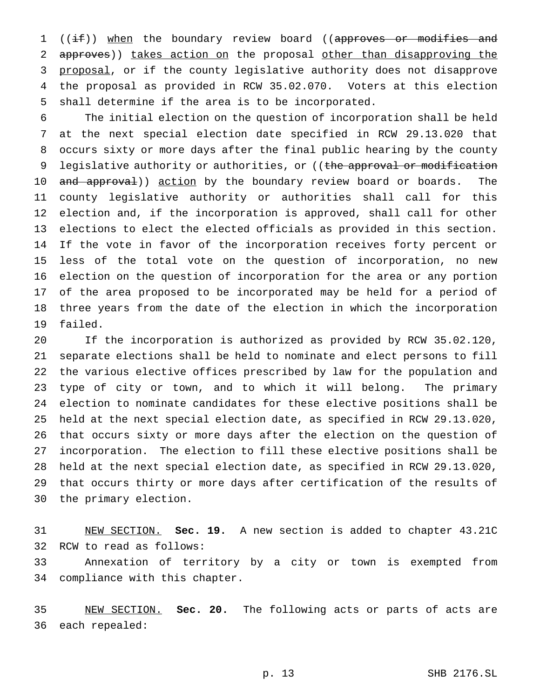1 ((if)) when the boundary review board ((approves or modifies and 2 approves)) takes action on the proposal other than disapproving the proposal, or if the county legislative authority does not disapprove the proposal as provided in RCW 35.02.070. Voters at this election shall determine if the area is to be incorporated.

 The initial election on the question of incorporation shall be held at the next special election date specified in RCW 29.13.020 that occurs sixty or more days after the final public hearing by the county 9 legislative authority or authorities, or ((the approval or modification 10 and approval)) action by the boundary review board or boards. The county legislative authority or authorities shall call for this election and, if the incorporation is approved, shall call for other elections to elect the elected officials as provided in this section. If the vote in favor of the incorporation receives forty percent or less of the total vote on the question of incorporation, no new election on the question of incorporation for the area or any portion of the area proposed to be incorporated may be held for a period of three years from the date of the election in which the incorporation failed.

 If the incorporation is authorized as provided by RCW 35.02.120, separate elections shall be held to nominate and elect persons to fill the various elective offices prescribed by law for the population and type of city or town, and to which it will belong. The primary election to nominate candidates for these elective positions shall be held at the next special election date, as specified in RCW 29.13.020, that occurs sixty or more days after the election on the question of incorporation. The election to fill these elective positions shall be held at the next special election date, as specified in RCW 29.13.020, that occurs thirty or more days after certification of the results of the primary election.

 NEW SECTION. **Sec. 19.** A new section is added to chapter 43.21C RCW to read as follows:

 Annexation of territory by a city or town is exempted from compliance with this chapter.

 NEW SECTION. **Sec. 20.** The following acts or parts of acts are each repealed: